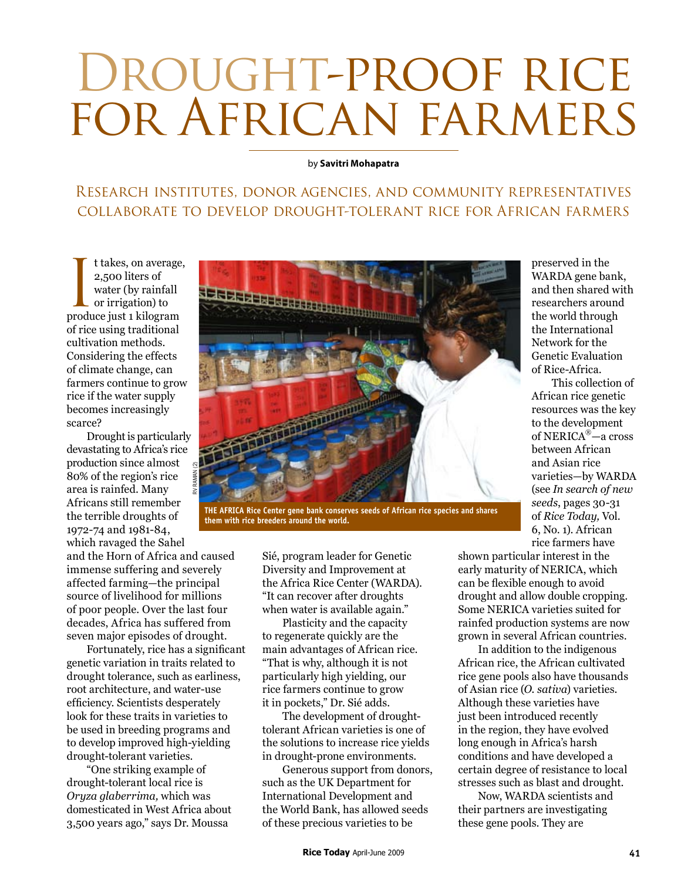## DROUGHT-PROOF RICE for African farmers

## by **Savitri Mohapatra**

## Research institutes, donor agencies, and community representatives collaborate to develop drought-tolerant rice for African farmers

It takes, on average<br>
2,500 liters of<br>
water (by rainfall<br>
or irrigation) to<br>
produce just 1 kilogram t takes, on average, 2,500 liters of water (by rainfall or irrigation) to of rice using traditional cultivation methods. Considering the effects of climate change, can farmers continue to grow rice if the water supply becomes increasingly scarce?

Drought is particularly devastating to Africa's rice production since almost 80% of the region's rice area is rainfed. Many Africans still remember the terrible droughts of 1972-74 and 1981-84, which ravaged the Sahel

and the Horn of Africa and caused immense suffering and severely affected farming—the principal source of livelihood for millions of poor people. Over the last four decades, Africa has suffered from seven major episodes of drought.

Fortunately, rice has a significant genetic variation in traits related to drought tolerance, such as earliness, root architecture, and water-use efficiency. Scientists desperately look for these traits in varieties to be used in breeding programs and to develop improved high-yielding drought-tolerant varieties.

"One striking example of drought-tolerant local rice is *Oryza glaberrima,* which was domesticated in West Africa about 3,500 years ago," says Dr. Moussa



**The Africa Rice Center gene bank conserves seeds of African rice species and shares them with rice breeders around the world.**

Sié, program leader for Genetic Diversity and Improvement at the Africa Rice Center (WARDA). "It can recover after droughts when water is available again."

Plasticity and the capacity to regenerate quickly are the main advantages of African rice. "That is why, although it is not particularly high yielding, our rice farmers continue to grow it in pockets," Dr. Sié adds.

The development of droughttolerant African varieties is one of the solutions to increase rice yields in drought-prone environments.

Generous support from donors, such as the UK Department for International Development and the World Bank, has allowed seeds of these precious varieties to be

preserved in the WARDA gene bank, and then shared with researchers around the world through the International Network for the Genetic Evaluation of Rice-Africa.

This collection of African rice genetic resources was the key to the development of NERICA®—a cross between African and Asian rice varieties—by WARDA (see *In search of new seeds*, pages 30-31 of *Rice Today,* Vol. 6, No. 1). African rice farmers have

shown particular interest in the early maturity of NERICA, which can be flexible enough to avoid drought and allow double cropping. Some NERICA varieties suited for rainfed production systems are now grown in several African countries.

In addition to the indigenous African rice, the African cultivated rice gene pools also have thousands of Asian rice (*O. sativa*) varieties. Although these varieties have just been introduced recently in the region, they have evolved long enough in Africa's harsh conditions and have developed a certain degree of resistance to local stresses such as blast and drought.

Now, WARDA scientists and their partners are investigating these gene pools. They are